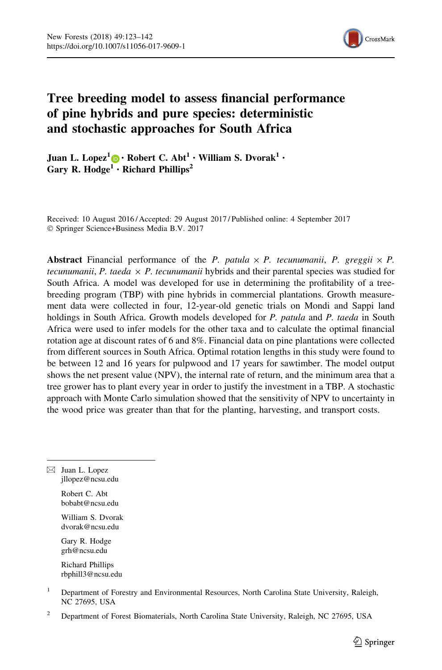

# Tree breeding model to assess financial performance of pine hybrids and pure species: deterministic and stochastic approaches for South Africa

Juan L. Lopez<sup>1</sup> <sup>•</sup> Robert C. Abt<sup>1</sup> • William S. Dvorak<sup>1</sup> • Gary R.  $Hodge<sup>1</sup> \cdot Richard Phillips<sup>2</sup>$  $Hodge<sup>1</sup> \cdot Richard Phillips<sup>2</sup>$  $Hodge<sup>1</sup> \cdot Richard Phillips<sup>2</sup>$ 

Received: 10 August 2016 / Accepted: 29 August 2017 / Published online: 4 September 2017 - Springer Science+Business Media B.V. 2017

Abstract Financial performance of the P. patula  $\times$  P. tecunumanii, P. greggii  $\times$  P. tecunumanii, P. taeda  $\times$  P. tecunumanii hybrids and their parental species was studied for South Africa. A model was developed for use in determining the profitability of a treebreeding program (TBP) with pine hybrids in commercial plantations. Growth measurement data were collected in four, 12-year-old genetic trials on Mondi and Sappi land holdings in South Africa. Growth models developed for P. patula and P. taeda in South Africa were used to infer models for the other taxa and to calculate the optimal financial rotation age at discount rates of 6 and 8%. Financial data on pine plantations were collected from different sources in South Africa. Optimal rotation lengths in this study were found to be between 12 and 16 years for pulpwood and 17 years for sawtimber. The model output shows the net present value (NPV), the internal rate of return, and the minimum area that a tree grower has to plant every year in order to justify the investment in a TBP. A stochastic approach with Monte Carlo simulation showed that the sensitivity of NPV to uncertainty in the wood price was greater than that for the planting, harvesting, and transport costs.

 $\boxtimes$  Juan L. Lopez jllopez@ncsu.edu

> Robert C. Abt bobabt@ncsu.edu

William S. Dvorak dvorak@ncsu.edu

Gary R. Hodge grh@ncsu.edu

Richard Phillips rbphill3@ncsu.edu

<sup>&</sup>lt;sup>1</sup> Department of Forestry and Environmental Resources, North Carolina State University, Raleigh, NC 27695, USA

<sup>&</sup>lt;sup>2</sup> Department of Forest Biomaterials, North Carolina State University, Raleigh, NC 27695, USA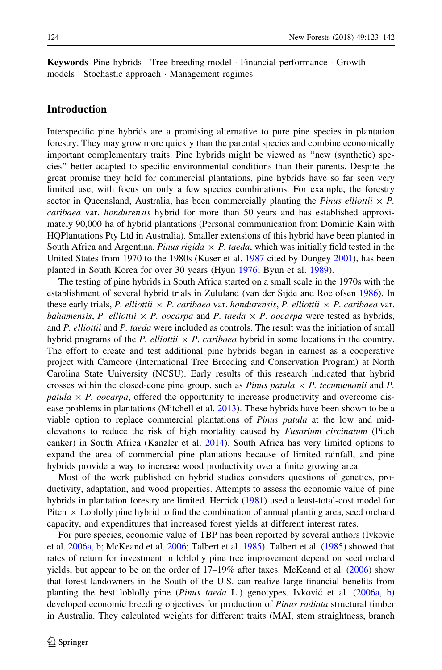Keywords Pine hybrids · Tree-breeding model · Financial performance · Growth models - Stochastic approach - Management regimes

## Introduction

Interspecific pine hybrids are a promising alternative to pure pine species in plantation forestry. They may grow more quickly than the parental species and combine economically important complementary traits. Pine hybrids might be viewed as ''new (synthetic) species'' better adapted to specific environmental conditions than their parents. Despite the great promise they hold for commercial plantations, pine hybrids have so far seen very limited use, with focus on only a few species combinations. For example, the forestry sector in Queensland, Australia, has been commercially planting the *Pinus elliottii*  $\times$  *P*. caribaea var. hondurensis hybrid for more than 50 years and has established approximately 90,000 ha of hybrid plantations (Personal communication from Dominic Kain with HQPlantations Pty Ltd in Australia). Smaller extensions of this hybrid have been planted in South Africa and Argentina. Pinus rigida  $\times$  P. taeda, which was initially field tested in the United States from 1970 to the 1980s (Kuser et al. [1987](#page-18-0) cited by Dungey [2001\)](#page-18-0), has been planted in South Korea for over 30 years (Hyun [1976](#page-18-0); Byun et al. [1989](#page-18-0)).

The testing of pine hybrids in South Africa started on a small scale in the 1970s with the establishment of several hybrid trials in Zululand (van der Sijde and Roelofsen [1986](#page-19-0)). In these early trials, P. elliottii  $\times$  P. caribaea var. hondurensis, P. elliottii  $\times$  P. caribaea var. bahamensis, P. elliottii  $\times$  P. oocarpa and P. taeda  $\times$  P. oocarpa were tested as hybrids, and P. elliottii and P. taeda were included as controls. The result was the initiation of small hybrid programs of the P. elliottii  $\times$  P. caribaea hybrid in some locations in the country. The effort to create and test additional pine hybrids began in earnest as a cooperative project with Camcore (International Tree Breeding and Conservation Program) at North Carolina State University (NCSU). Early results of this research indicated that hybrid crosses within the closed-cone pine group, such as *Pinus patula*  $\times$  *P. tecunumanii* and *P.* patula  $\times$  P. oocarpa, offered the opportunity to increase productivity and overcome disease problems in plantations (Mitchell et al. [2013](#page-19-0)). These hybrids have been shown to be a viable option to replace commercial plantations of Pinus patula at the low and midelevations to reduce the risk of high mortality caused by *Fusarium circinatum* (Pitch canker) in South Africa (Kanzler et al. [2014](#page-18-0)). South Africa has very limited options to expand the area of commercial pine plantations because of limited rainfall, and pine hybrids provide a way to increase wood productivity over a finite growing area.

Most of the work published on hybrid studies considers questions of genetics, productivity, adaptation, and wood properties. Attempts to assess the economic value of pine hybrids in plantation forestry are limited. Herrick ([1981](#page-18-0)) used a least-total-cost model for Pitch  $\times$  Loblolly pine hybrid to find the combination of annual planting area, seed orchard capacity, and expenditures that increased forest yields at different interest rates.

For pure species, economic value of TBP has been reported by several authors (Ivkovic et al. [2006a,](#page-18-0) [b;](#page-18-0) McKeand et al. [2006](#page-18-0); Talbert et al. [1985](#page-19-0)). Talbert et al. [\(1985](#page-19-0)) showed that rates of return for investment in loblolly pine tree improvement depend on seed orchard yields, but appear to be on the order of 17–19% after taxes. McKeand et al. ([2006\)](#page-18-0) show that forest landowners in the South of the U.S. can realize large financial benefits from planting the [b](#page-18-0)est loblolly pine (*Pinus taeda* L.) genotypes. Ivković et al. [\(2006a,](#page-18-0) b) developed economic breeding objectives for production of *Pinus radiata* structural timber in Australia. They calculated weights for different traits (MAI, stem straightness, branch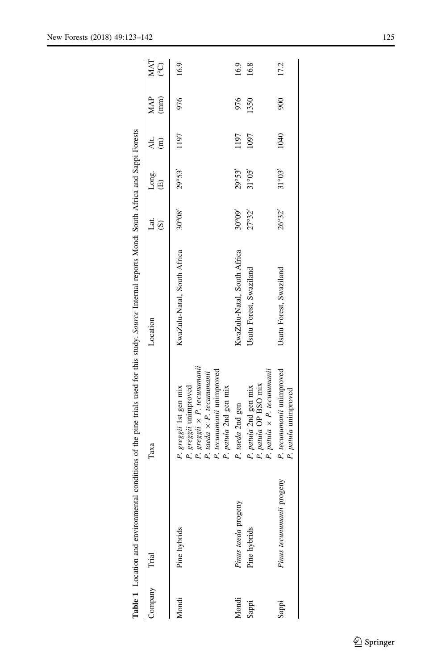<span id="page-2-0"></span>

|                |                           |                                                                                                                                                                                   | Table 1 Location and environmental conditions of the pine trials used for this study. Source Internal reports Mondi South Africa and Sappi Forests |                 |                          |               |             |                  |
|----------------|---------------------------|-----------------------------------------------------------------------------------------------------------------------------------------------------------------------------------|----------------------------------------------------------------------------------------------------------------------------------------------------|-----------------|--------------------------|---------------|-------------|------------------|
| <b>Company</b> | Trial                     | Таха                                                                                                                                                                              | Location                                                                                                                                           | ଡି              | Long.<br>$\widehat{\Xi}$ | $\widehat{E}$ | MAP<br>(mm) | MAT<br><u>(၁</u> |
| Mondi          | Pine hybrids              | P. greggii $\times$ P. tecunumanii<br>P. tecunumanii unimproved<br>$P.$ taeda $\times P.$ tecunumanii<br>P. greggii unimproved<br>P. greggii 1st gen mix<br>P. patula 2nd gen mix | KwaZulu-Natal, South Africa                                                                                                                        | $30^{\circ}08'$ | 29°53'                   | 1197          | 976         | 16.9             |
| Mondi          | Pinus taeda progeny       | P. taeda 2nd gen                                                                                                                                                                  | KwaZulu-Natal, South Africa                                                                                                                        | 30°09'          | 29°53'                   | 1197          | 976         | 16.9             |
| Sappi          | Pine hybrids              | $P.$ patula $\times P.$ tecunumanii<br>P. patula OP BSO mix<br>P. patula 2nd gen mix                                                                                              | Usutu Forest, Swaziland                                                                                                                            | 27°32'          | 31°05'                   | 1097          | 1350        | 16.8             |
| Sappi          | Pinus tecunumanii progeny | P. tecunumanii unimproved<br>P. patula unimproved                                                                                                                                 | Usutu Forest, Swaziland                                                                                                                            | 26°32'          | 31°03'                   | 1040          | 006         | 17.2             |
|                |                           |                                                                                                                                                                                   |                                                                                                                                                    |                 |                          |               |             |                  |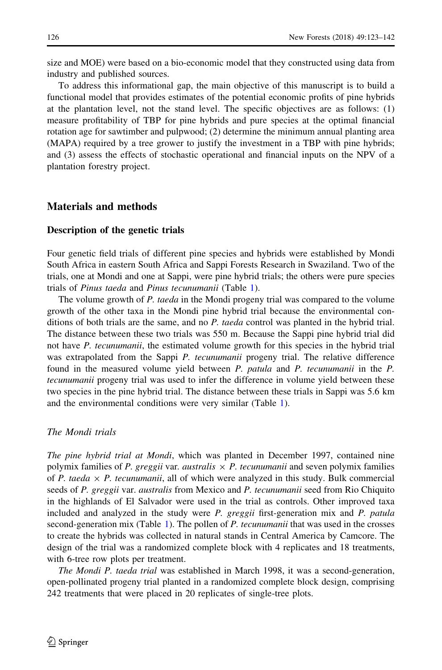size and MOE) were based on a bio-economic model that they constructed using data from industry and published sources.

To address this informational gap, the main objective of this manuscript is to build a functional model that provides estimates of the potential economic profits of pine hybrids at the plantation level, not the stand level. The specific objectives are as follows: (1) measure profitability of TBP for pine hybrids and pure species at the optimal financial rotation age for sawtimber and pulpwood; (2) determine the minimum annual planting area (MAPA) required by a tree grower to justify the investment in a TBP with pine hybrids; and (3) assess the effects of stochastic operational and financial inputs on the NPV of a plantation forestry project.

# Materials and methods

## Description of the genetic trials

Four genetic field trials of different pine species and hybrids were established by Mondi South Africa in eastern South Africa and Sappi Forests Research in Swaziland. Two of the trials, one at Mondi and one at Sappi, were pine hybrid trials; the others were pure species trials of Pinus taeda and Pinus tecunumanii (Table [1](#page-2-0)).

The volume growth of P. taeda in the Mondi progeny trial was compared to the volume growth of the other taxa in the Mondi pine hybrid trial because the environmental conditions of both trials are the same, and no P. taeda control was planted in the hybrid trial. The distance between these two trials was 550 m. Because the Sappi pine hybrid trial did not have P. tecunumanii, the estimated volume growth for this species in the hybrid trial was extrapolated from the Sappi P. tecunumanii progeny trial. The relative difference found in the measured volume yield between P. patula and P. tecunumanii in the P. *tecunumanii* progeny trial was used to infer the difference in volume yield between these two species in the pine hybrid trial. The distance between these trials in Sappi was 5.6 km and the environmental conditions were very similar (Table [1\)](#page-2-0).

## The Mondi trials

The pine hybrid trial at Mondi, which was planted in December 1997, contained nine polymix families of P. greggii var. australis  $\times$  P. tecunumanii and seven polymix families of P. taeda  $\times$  P. tecunumanii, all of which were analyzed in this study. Bulk commercial seeds of P. greggii var. *australis* from Mexico and P. tecunumanii seed from Rio Chiquito in the highlands of El Salvador were used in the trial as controls. Other improved taxa included and analyzed in the study were P. greggii first-generation mix and P. patula second-generation mix (Table [1](#page-2-0)). The pollen of P. tecunumanii that was used in the crosses to create the hybrids was collected in natural stands in Central America by Camcore. The design of the trial was a randomized complete block with 4 replicates and 18 treatments, with 6-tree row plots per treatment.

The Mondi P. taeda trial was established in March 1998, it was a second-generation, open-pollinated progeny trial planted in a randomized complete block design, comprising 242 treatments that were placed in 20 replicates of single-tree plots.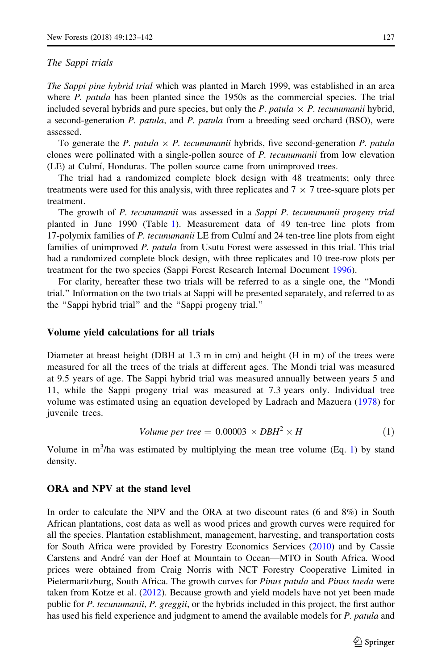#### The Sappi trials

The Sappi pine hybrid trial which was planted in March 1999, was established in an area where *P. patula* has been planted since the 1950s as the commercial species. The trial included several hybrids and pure species, but only the P. patula  $\times$  P. tecunumanii hybrid, a second-generation P. patula, and P. patula from a breeding seed orchard (BSO), were assessed.

To generate the P. patula  $\times$  P. tecunumanii hybrids, five second-generation P. patula clones were pollinated with a single-pollen source of P. tecunumanii from low elevation (LE) at Culmı´, Honduras. The pollen source came from unimproved trees.

The trial had a randomized complete block design with 48 treatments; only three treatments were used for this analysis, with three replicates and  $7 \times 7$  tree-square plots per treatment.

The growth of P. tecunumanii was assessed in a Sappi P. tecunumanii progeny trial planted in June 1990 (Table [1\)](#page-2-0). Measurement data of 49 ten-tree line plots from 17-polymix families of P. tecunumanii LE from Culmí and 24 ten-tree line plots from eight families of unimproved P. patula from Usutu Forest were assessed in this trial. This trial had a randomized complete block design, with three replicates and 10 tree-row plots per treatment for the two species (Sappi Forest Research Internal Document [1996\)](#page-19-0).

For clarity, hereafter these two trials will be referred to as a single one, the ''Mondi trial.'' Information on the two trials at Sappi will be presented separately, and referred to as the ''Sappi hybrid trial'' and the ''Sappi progeny trial.''

#### Volume yield calculations for all trials

Diameter at breast height (DBH at 1.3 m in cm) and height (H in m) of the trees were measured for all the trees of the trials at different ages. The Mondi trial was measured at 9.5 years of age. The Sappi hybrid trial was measured annually between years 5 and 11, while the Sappi progeny trial was measured at 7.3 years only. Individual tree volume was estimated using an equation developed by Ladrach and Mazuera ([1978](#page-18-0)) for juvenile trees.

Volume per tree = 
$$
0.00003 \times DBH^2 \times H
$$
 (1)

Volume in  $m^3/ha$  was estimated by multiplying the mean tree volume (Eq. 1) by stand density.

## ORA and NPV at the stand level

In order to calculate the NPV and the ORA at two discount rates (6 and 8%) in South African plantations, cost data as well as wood prices and growth curves were required for all the species. Plantation establishment, management, harvesting, and transportation costs for South Africa were provided by Forestry Economics Services ([2010\)](#page-18-0) and by Cassie Carstens and Andre´ van der Hoef at Mountain to Ocean—MTO in South Africa. Wood prices were obtained from Craig Norris with NCT Forestry Cooperative Limited in Pietermaritzburg, South Africa. The growth curves for *Pinus patula* and *Pinus taeda* were taken from Kotze et al. ([2012\)](#page-18-0). Because growth and yield models have not yet been made public for P. tecunumanii, P. greggii, or the hybrids included in this project, the first author has used his field experience and judgment to amend the available models for P. patula and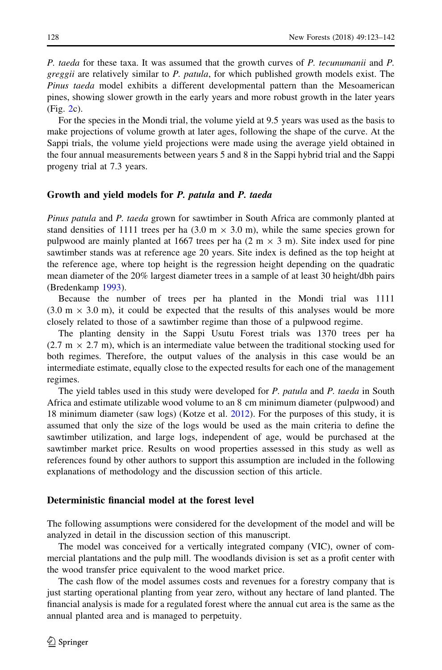P. taeda for these taxa. It was assumed that the growth curves of P. tecunumanii and P. greggii are relatively similar to P. patula, for which published growth models exist. The Pinus taeda model exhibits a different developmental pattern than the Mesoamerican pines, showing slower growth in the early years and more robust growth in the later years (Fig. [2c](#page-9-0)).

For the species in the Mondi trial, the volume yield at 9.5 years was used as the basis to make projections of volume growth at later ages, following the shape of the curve. At the Sappi trials, the volume yield projections were made using the average yield obtained in the four annual measurements between years 5 and 8 in the Sappi hybrid trial and the Sappi progeny trial at 7.3 years.

## Growth and yield models for P. patula and P. taeda

Pinus patula and P. taeda grown for sawtimber in South Africa are commonly planted at stand densities of 1111 trees per ha (3.0 m  $\times$  3.0 m), while the same species grown for pulpwood are mainly planted at 1667 trees per ha  $(2 \text{ m} \times 3 \text{ m})$ . Site index used for pine sawtimber stands was at reference age 20 years. Site index is defined as the top height at the reference age, where top height is the regression height depending on the quadratic mean diameter of the 20% largest diameter trees in a sample of at least 30 height/dbh pairs (Bredenkamp [1993](#page-18-0)).

Because the number of trees per ha planted in the Mondi trial was 1111  $(3.0 \text{ m} \times 3.0 \text{ m})$ , it could be expected that the results of this analyses would be more closely related to those of a sawtimber regime than those of a pulpwood regime.

The planting density in the Sappi Usutu Forest trials was 1370 trees per ha  $(2.7 \text{ m} \times 2.7 \text{ m})$ , which is an intermediate value between the traditional stocking used for both regimes. Therefore, the output values of the analysis in this case would be an intermediate estimate, equally close to the expected results for each one of the management regimes.

The yield tables used in this study were developed for *P. patula* and *P. taeda* in South Africa and estimate utilizable wood volume to an 8 cm minimum diameter (pulpwood) and 18 minimum diameter (saw logs) (Kotze et al. [2012](#page-18-0)). For the purposes of this study, it is assumed that only the size of the logs would be used as the main criteria to define the sawtimber utilization, and large logs, independent of age, would be purchased at the sawtimber market price. Results on wood properties assessed in this study as well as references found by other authors to support this assumption are included in the following explanations of methodology and the discussion section of this article.

#### Deterministic financial model at the forest level

The following assumptions were considered for the development of the model and will be analyzed in detail in the discussion section of this manuscript.

The model was conceived for a vertically integrated company (VIC), owner of commercial plantations and the pulp mill. The woodlands division is set as a profit center with the wood transfer price equivalent to the wood market price.

The cash flow of the model assumes costs and revenues for a forestry company that is just starting operational planting from year zero, without any hectare of land planted. The financial analysis is made for a regulated forest where the annual cut area is the same as the annual planted area and is managed to perpetuity.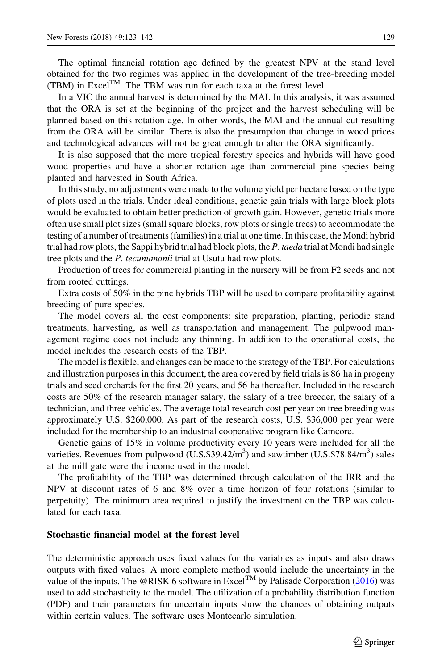The optimal financial rotation age defined by the greatest NPV at the stand level obtained for the two regimes was applied in the development of the tree-breeding model (TBM) in Excel<sup>TM</sup>. The TBM was run for each taxa at the forest level.

In a VIC the annual harvest is determined by the MAI. In this analysis, it was assumed that the ORA is set at the beginning of the project and the harvest scheduling will be planned based on this rotation age. In other words, the MAI and the annual cut resulting from the ORA will be similar. There is also the presumption that change in wood prices and technological advances will not be great enough to alter the ORA significantly.

It is also supposed that the more tropical forestry species and hybrids will have good wood properties and have a shorter rotation age than commercial pine species being planted and harvested in South Africa.

In this study, no adjustments were made to the volume yield per hectare based on the type of plots used in the trials. Under ideal conditions, genetic gain trials with large block plots would be evaluated to obtain better prediction of growth gain. However, genetic trials more often use small plot sizes (small square blocks, row plots or single trees) to accommodate the testing of a number of treatments (families) in a trial at one time. In this case, the Mondi hybrid trial had row plots, the Sappi hybrid trial had block plots, the P. taeda trial at Mondi had single tree plots and the P. tecunumanii trial at Usutu had row plots.

Production of trees for commercial planting in the nursery will be from F2 seeds and not from rooted cuttings.

Extra costs of 50% in the pine hybrids TBP will be used to compare profitability against breeding of pure species.

The model covers all the cost components: site preparation, planting, periodic stand treatments, harvesting, as well as transportation and management. The pulpwood management regime does not include any thinning. In addition to the operational costs, the model includes the research costs of the TBP.

The model is flexible, and changes can be made to the strategy of the TBP. For calculations and illustration purposes in this document, the area covered by field trials is 86 ha in progeny trials and seed orchards for the first 20 years, and 56 ha thereafter. Included in the research costs are 50% of the research manager salary, the salary of a tree breeder, the salary of a technician, and three vehicles. The average total research cost per year on tree breeding was approximately U.S. \$260,000. As part of the research costs, U.S. \$36,000 per year were included for the membership to an industrial cooperative program like Camcore.

Genetic gains of 15% in volume productivity every 10 years were included for all the varieties. Revenues from pulpwood (U.S.\$39.42/m<sup>3</sup>) and sawtimber (U.S.\$78.84/m<sup>3</sup>) sales at the mill gate were the income used in the model.

The profitability of the TBP was determined through calculation of the IRR and the NPV at discount rates of 6 and 8% over a time horizon of four rotations (similar to perpetuity). The minimum area required to justify the investment on the TBP was calculated for each taxa.

## Stochastic financial model at the forest level

The deterministic approach uses fixed values for the variables as inputs and also draws outputs with fixed values. A more complete method would include the uncertainty in the value of the inputs. The @RISK 6 software in Excel<sup>TM</sup> by Palisade Corporation ([2016\)](#page-19-0) was used to add stochasticity to the model. The utilization of a probability distribution function (PDF) and their parameters for uncertain inputs show the chances of obtaining outputs within certain values. The software uses Montecarlo simulation.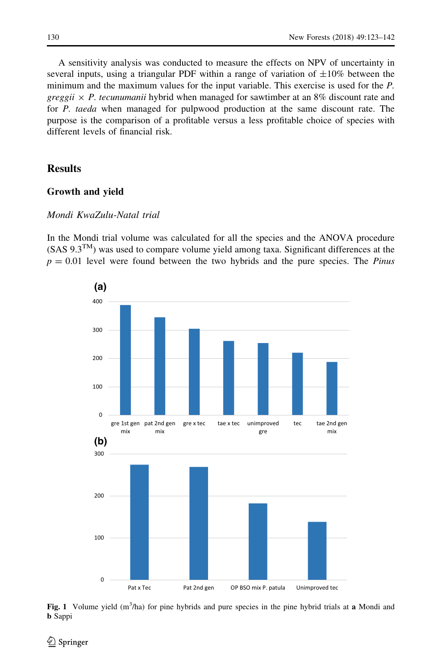<span id="page-7-0"></span>A sensitivity analysis was conducted to measure the effects on NPV of uncertainty in several inputs, using a triangular PDF within a range of variation of  $\pm 10\%$  between the minimum and the maximum values for the input variable. This exercise is used for the P. greggii  $\times$  P. tecunumanii hybrid when managed for sawtimber at an 8% discount rate and for P. taeda when managed for pulpwood production at the same discount rate. The purpose is the comparison of a profitable versus a less profitable choice of species with different levels of financial risk.

# Results

## Growth and yield

## Mondi KwaZulu-Natal trial

In the Mondi trial volume was calculated for all the species and the ANOVA procedure  $(SAS 9.3<sup>TM</sup>)$  was used to compare volume yield among taxa. Significant differences at the  $p = 0.01$  level were found between the two hybrids and the pure species. The *Pinus* 



Fig. 1 Volume yield  $(m^3/ha)$  for pine hybrids and pure species in the pine hybrid trials at a Mondi and b Sappi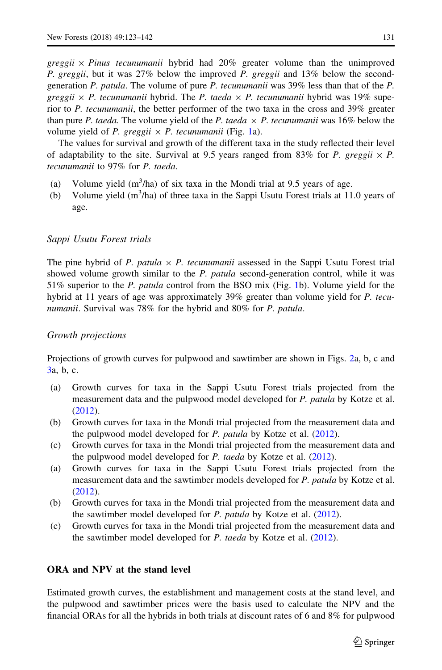greggii  $\times$  Pinus tecunumanii hybrid had 20% greater volume than the unimproved P. greggii, but it was 27% below the improved P. greggii and 13% below the secondgeneration P. patula. The volume of pure P. tecunumanii was 39% less than that of the P. greggii  $\times$  P. tecunumanii hybrid. The P. taeda  $\times$  P. tecunumanii hybrid was 19% superior to P. tecunumanii, the better performer of the two taxa in the cross and 39% greater than pure P. taeda. The volume yield of the P. taeda  $\times$  P. tecunumanii was 16% below the volume yield of *P. greggii*  $\times$  *P. tecunumanii* (Fig. [1](#page-7-0)a).

The values for survival and growth of the different taxa in the study reflected their level of adaptability to the site. Survival at 9.5 years ranged from 83% for P. greggii  $\times$  P. tecunumanii to 97% for P. taeda.

- (a) Volume yield  $(m^3/ha)$  of six taxa in the Mondi trial at 9.5 years of age.
- (b) Volume yield  $(m^3/ha)$  of three taxa in the Sappi Usutu Forest trials at 11.0 years of age.

## Sappi Usutu Forest trials

The pine hybrid of P. patula  $\times$  P. tecunumanii assessed in the Sappi Usutu Forest trial showed volume growth similar to the P. patula second-generation control, while it was 51% superior to the P. patula control from the BSO mix (Fig. [1](#page-7-0)b). Volume yield for the hybrid at 11 years of age was approximately 39% greater than volume yield for P. tecunumanii. Survival was 78% for the hybrid and 80% for P. patula.

## Growth projections

Projections of growth curves for pulpwood and sawtimber are shown in Figs. [2](#page-9-0)a, b, c and [3](#page-10-0)a, b, c.

- (a) Growth curves for taxa in the Sappi Usutu Forest trials projected from the measurement data and the pulpwood model developed for P. patula by Kotze et al. ([2012\)](#page-18-0).
- (b) Growth curves for taxa in the Mondi trial projected from the measurement data and the pulpwood model developed for *P. patula* by Kotze et al. ([2012\)](#page-18-0).
- (c) Growth curves for taxa in the Mondi trial projected from the measurement data and the pulpwood model developed for P. taeda by Kotze et al. ([2012](#page-18-0)).
- (a) Growth curves for taxa in the Sappi Usutu Forest trials projected from the measurement data and the sawtimber models developed for P. patula by Kotze et al. ([2012\)](#page-18-0).
- (b) Growth curves for taxa in the Mondi trial projected from the measurement data and the sawtimber model developed for P. patula by Kotze et al. [\(2012](#page-18-0)).
- (c) Growth curves for taxa in the Mondi trial projected from the measurement data and the sawtimber model developed for P. taeda by Kotze et al. [\(2012](#page-18-0)).

## ORA and NPV at the stand level

Estimated growth curves, the establishment and management costs at the stand level, and the pulpwood and sawtimber prices were the basis used to calculate the NPV and the financial ORAs for all the hybrids in both trials at discount rates of 6 and 8% for pulpwood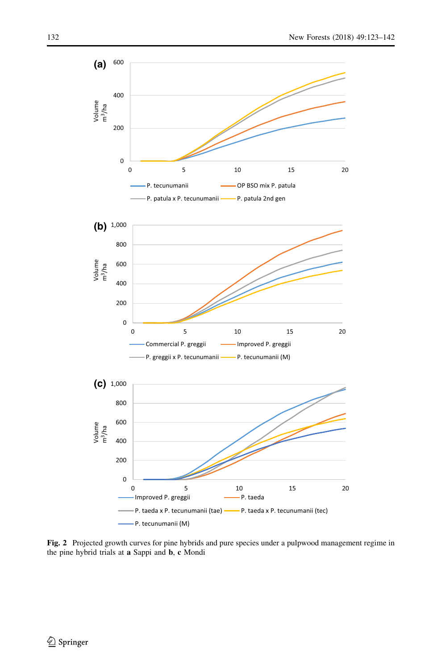<span id="page-9-0"></span>

Fig. 2 Projected growth curves for pine hybrids and pure species under a pulpwood management regime in the pine hybrid trials at a Sappi and b, c Mondi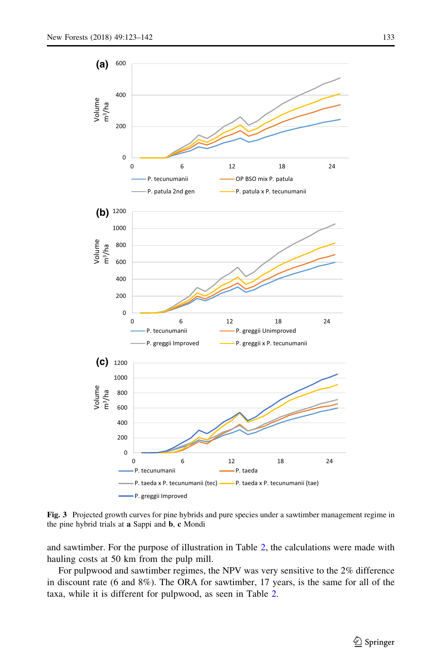<span id="page-10-0"></span>

Fig. 3 Projected growth curves for pine hybrids and pure species under a sawtimber management regime in the pine hybrid trials at a Sappi and b, c Mondi

and sawtimber. For the purpose of illustration in Table [2](#page-11-0), the calculations were made with hauling costs at 50 km from the pulp mill.

For pulpwood and sawtimber regimes, the NPV was very sensitive to the 2% difference in discount rate (6 and 8%). The ORA for sawtimber, 17 years, is the same for all of the taxa, while it is different for pulpwood, as seen in Table [2.](#page-11-0)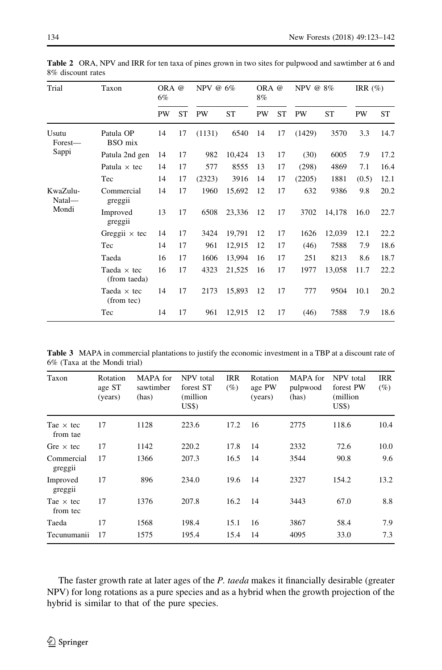| Trial                       | Taxon                              | $ORA$ @<br>6% |           | NPV @ 6% |           | ORA @<br>8% |           | NPV @ 8%  |           | IRR $(\%)$ |           |
|-----------------------------|------------------------------------|---------------|-----------|----------|-----------|-------------|-----------|-----------|-----------|------------|-----------|
|                             |                                    | PW            | <b>ST</b> | PW       | <b>ST</b> | PW          | <b>ST</b> | <b>PW</b> | <b>ST</b> | PW         | <b>ST</b> |
| Usutu<br>Forest-<br>Sappi   | Patula OP<br>BSO mix               | 14            | 17        | (1131)   | 6540      | 14          | 17        | (1429)    | 3570      | 3.3        | 14.7      |
|                             | Patula 2nd gen                     | 14            | 17        | 982      | 10,424    | 13          | 17        | (30)      | 6005      | 7.9        | 17.2      |
|                             | Patula $\times$ tec                | 14            | 17        | 577      | 8555      | 13          | 17        | (298)     | 4869      | 7.1        | 16.4      |
|                             | Tec                                | 14            | 17        | (2323)   | 3916      | 14          | 17        | (2205)    | 1881      | (0.5)      | 12.1      |
| KwaZulu-<br>Natal-<br>Mondi | Commercial<br>greggii              | 14            | 17        | 1960     | 15,692    | 12          | 17        | 632       | 9386      | 9.8        | 20.2      |
|                             | Improved<br>greggii                | 13            | 17        | 6508     | 23,336    | 12          | 17        | 3702      | 14,178    | 16.0       | 22.7      |
|                             | Greggii $\times$ tec               | 14            | 17        | 3424     | 19,791    | 12          | 17        | 1626      | 12,039    | 12.1       | 22.2      |
|                             | Tec                                | 14            | 17        | 961      | 12,915    | 12          | 17        | (46)      | 7588      | 7.9        | 18.6      |
|                             | Taeda                              | 16            | 17        | 1606     | 13,994    | 16          | 17        | 251       | 8213      | 8.6        | 18.7      |
|                             | Taeda $\times$ tec<br>(from taeda) | 16            | 17        | 4323     | 21,525    | 16          | 17        | 1977      | 13,058    | 11.7       | 22.2      |
|                             | Taeda $\times$ tec<br>(from tec)   | 14            | 17        | 2173     | 15,893    | 12          | 17        | 777       | 9504      | 10.1       | 20.2      |
|                             | Tec                                | 14            | 17        | 961      | 12,915    | 12          | 17        | (46)      | 7588      | 7.9        | 18.6      |

<span id="page-11-0"></span>Table 2 ORA, NPV and IRR for ten taxa of pines grown in two sites for pulpwood and sawtimber at 6 and 8% discount rates

Table 3 MAPA in commercial plantations to justify the economic investment in a TBP at a discount rate of 6% (Taxa at the Mondi trial)

| Taxon                        | Rotation<br>age ST<br>(years) | MAPA for<br>sawtimber<br>(has) | NPV total<br>forest ST<br>(million)<br>$\overline{U}$ SS) | <b>IRR</b><br>$(\%)$ | Rotation<br>age PW<br>(years) | MAPA for<br>pulpwood<br>(has) | NPV total<br>forest PW<br>(million<br>$\overline{U}$ SS) | IRR<br>$(\%)$ |
|------------------------------|-------------------------------|--------------------------------|-----------------------------------------------------------|----------------------|-------------------------------|-------------------------------|----------------------------------------------------------|---------------|
| Tae $\times$ tec<br>from tae | 17                            | 1128                           | 223.6                                                     | 17.2                 | 16                            | 2775                          | 118.6                                                    | 10.4          |
| Gre $\times$ tec             | 17                            | 1142                           | 220.2                                                     | 17.8                 | 14                            | 2332                          | 72.6                                                     | 10.0          |
| Commercial<br>greggii        | 17                            | 1366                           | 207.3                                                     | 16.5                 | 14                            | 3544                          | 90.8                                                     | 9.6           |
| Improved<br>greggii          | 17                            | 896                            | 234.0                                                     | 19.6                 | 14                            | 2327                          | 154.2                                                    | 13.2          |
| Tae $\times$ tec<br>from tec | 17                            | 1376                           | 207.8                                                     | 16.2                 | 14                            | 3443                          | 67.0                                                     | 8.8           |
| Taeda                        | 17                            | 1568                           | 198.4                                                     | 15.1                 | 16                            | 3867                          | 58.4                                                     | 7.9           |
| Tecunumanii                  | 17                            | 1575                           | 195.4                                                     | 15.4                 | 14                            | 4095                          | 33.0                                                     | 7.3           |

The faster growth rate at later ages of the P. taeda makes it financially desirable (greater NPV) for long rotations as a pure species and as a hybrid when the growth projection of the hybrid is similar to that of the pure species.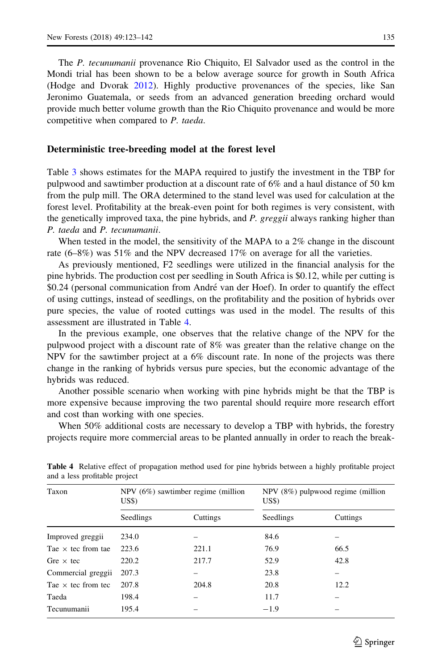The P. tecunumanii provenance Rio Chiquito, El Salvador used as the control in the Mondi trial has been shown to be a below average source for growth in South Africa (Hodge and Dvorak [2012](#page-18-0)). Highly productive provenances of the species, like San Jeronimo Guatemala, or seeds from an advanced generation breeding orchard would provide much better volume growth than the Rio Chiquito provenance and would be more competitive when compared to P. taeda.

#### Deterministic tree-breeding model at the forest level

Table [3](#page-11-0) shows estimates for the MAPA required to justify the investment in the TBP for pulpwood and sawtimber production at a discount rate of 6% and a haul distance of 50 km from the pulp mill. The ORA determined to the stand level was used for calculation at the forest level. Profitability at the break-even point for both regimes is very consistent, with the genetically improved taxa, the pine hybrids, and P. greggii always ranking higher than P. taeda and P. tecunumanii.

When tested in the model, the sensitivity of the MAPA to a 2% change in the discount rate (6–8%) was 51% and the NPV decreased 17% on average for all the varieties.

As previously mentioned, F2 seedlings were utilized in the financial analysis for the pine hybrids. The production cost per seedling in South Africa is \$0.12, while per cutting is \$0.24 (personal communication from Andre´ van der Hoef). In order to quantify the effect of using cuttings, instead of seedlings, on the profitability and the position of hybrids over pure species, the value of rooted cuttings was used in the model. The results of this assessment are illustrated in Table 4.

In the previous example, one observes that the relative change of the NPV for the pulpwood project with a discount rate of 8% was greater than the relative change on the NPV for the sawtimber project at a 6% discount rate. In none of the projects was there change in the ranking of hybrids versus pure species, but the economic advantage of the hybrids was reduced.

Another possible scenario when working with pine hybrids might be that the TBP is more expensive because improving the two parental should require more research effort and cost than working with one species.

When 50% additional costs are necessary to develop a TBP with hybrids, the forestry projects require more commercial areas to be planted annually in order to reach the break-

| Taxon                     | $\overline{U}$ SS) | $NPV (6%)$ sawtimber regime (million | $NPV$ (8%) pulpwood regime (million<br>USS |          |  |  |
|---------------------------|--------------------|--------------------------------------|--------------------------------------------|----------|--|--|
|                           | Seedlings          | Cuttings                             | Seedlings                                  | Cuttings |  |  |
| Improved greggii          | 234.0              |                                      | 84.6                                       |          |  |  |
| Tae $\times$ tec from tae | 223.6              | 221.1                                | 76.9                                       | 66.5     |  |  |
| Gre $\times$ tec          | 220.2              | 217.7                                | 52.9                                       | 42.8     |  |  |
| Commercial greggii        | 207.3              |                                      | 23.8                                       |          |  |  |
| Tae $\times$ tec from tec | 207.8              | 204.8                                | 20.8                                       | 12.2     |  |  |
| Taeda                     | 198.4              |                                      | 11.7                                       |          |  |  |
| Tecunumanii               | 195.4              |                                      | $-1.9$                                     |          |  |  |

Table 4 Relative effect of propagation method used for pine hybrids between a highly profitable project and a less profitable project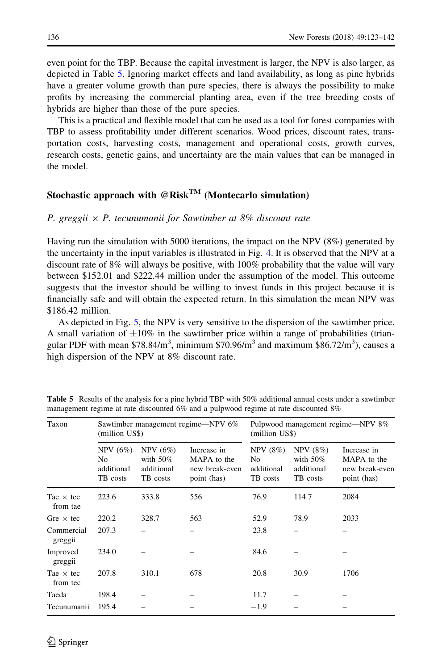<span id="page-13-0"></span>even point for the TBP. Because the capital investment is larger, the NPV is also larger, as depicted in Table 5. Ignoring market effects and land availability, as long as pine hybrids have a greater volume growth than pure species, there is always the possibility to make profits by increasing the commercial planting area, even if the tree breeding costs of hybrids are higher than those of the pure species.

This is a practical and flexible model that can be used as a tool for forest companies with TBP to assess profitability under different scenarios. Wood prices, discount rates, transportation costs, harvesting costs, management and operational costs, growth curves, research costs, genetic gains, and uncertainty are the main values that can be managed in the model.

# Stochastic approach with  $@Risk^{TM}$  (Montecarlo simulation)

#### P. greggii  $\times$  P. tecunumanii for Sawtimber at 8% discount rate

Having run the simulation with 5000 iterations, the impact on the NPV (8%) generated by the uncertainty in the input variables is illustrated in Fig. [4](#page-14-0). It is observed that the NPV at a discount rate of 8% will always be positive, with 100% probability that the value will vary between \$152.01 and \$222.44 million under the assumption of the model. This outcome suggests that the investor should be willing to invest funds in this project because it is financially safe and will obtain the expected return. In this simulation the mean NPV was \$186.42 million.

As depicted in Fig. [5,](#page-14-0) the NPV is very sensitive to the dispersion of the sawtimber price. A small variation of  $\pm 10\%$  in the sawtimber price within a range of probabilities (triangular PDF with mean \$78.84/m<sup>3</sup>, minimum \$70.96/m<sup>3</sup> and maximum \$86.72/m<sup>3</sup>), causes a high dispersion of the NPV at 8% discount rate.

| Taxon                        | (million US\$)                             |                                                      | Sawtimber management regime—NPV 6%                          | Pulpwood management regime—NPV 8%<br>(million US\$) |                                                      |                                                             |  |  |
|------------------------------|--------------------------------------------|------------------------------------------------------|-------------------------------------------------------------|-----------------------------------------------------|------------------------------------------------------|-------------------------------------------------------------|--|--|
|                              | NPV $(6%)$<br>No<br>additional<br>TB costs | NPV $(6\%)$<br>with $50\%$<br>additional<br>TB costs | Increase in<br>MAPA to the<br>new break-even<br>point (has) | NPV (8%)<br>No<br>additional<br>TB costs            | NPV $(8\%)$<br>with $50\%$<br>additional<br>TB costs | Increase in<br>MAPA to the<br>new break-even<br>point (has) |  |  |
| Tae $\times$ tec<br>from tae | 223.6                                      | 333.8                                                | 556                                                         | 76.9                                                | 114.7                                                | 2084                                                        |  |  |
| Gre $\times$ tec             | 220.2                                      | 328.7                                                | 563                                                         | 52.9                                                | 78.9                                                 | 2033                                                        |  |  |
| Commercial<br>greggii        | 207.3                                      |                                                      |                                                             | 23.8                                                |                                                      |                                                             |  |  |
| Improved<br>greggii          | 234.0                                      |                                                      |                                                             | 84.6                                                |                                                      |                                                             |  |  |
| Tae $\times$ tec<br>from tec | 207.8                                      | 310.1                                                | 678                                                         | 20.8                                                | 30.9                                                 | 1706                                                        |  |  |
| Taeda                        | 198.4                                      |                                                      |                                                             | 11.7                                                |                                                      |                                                             |  |  |
| Tecunumanii                  | 195.4                                      |                                                      |                                                             | $-1.9$                                              |                                                      |                                                             |  |  |

Table 5 Results of the analysis for a pine hybrid TBP with 50% additional annual costs under a sawtimber management regime at rate discounted 6% and a pulpwood regime at rate discounted 8%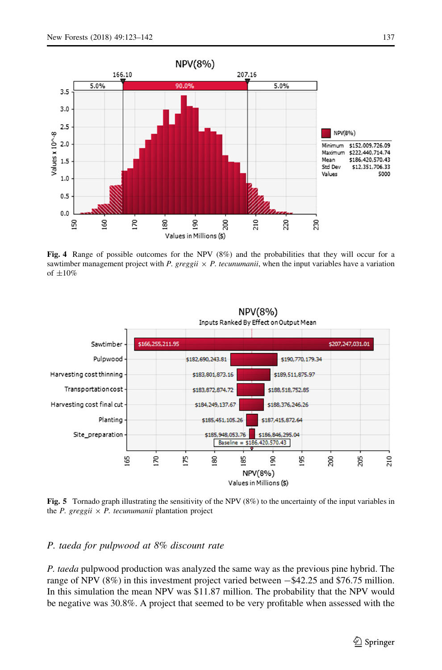<span id="page-14-0"></span>

Fig. 4 Range of possible outcomes for the NPV (8%) and the probabilities that they will occur for a sawtimber management project with P. greggii  $\times$  P. tecunumanii, when the input variables have a variation of  $\pm 10\%$ 



Fig. 5 Tornado graph illustrating the sensitivity of the NPV (8%) to the uncertainty of the input variables in the *P. greggii*  $\times$  *P. tecunumanii* plantation project

#### P. taeda for pulpwood at 8% discount rate

P. taeda pulpwood production was analyzed the same way as the previous pine hybrid. The range of NPV (8%) in this investment project varied between  $-$ \$42.25 and \$76.75 million. In this simulation the mean NPV was \$11.87 million. The probability that the NPV would be negative was 30.8%. A project that seemed to be very profitable when assessed with the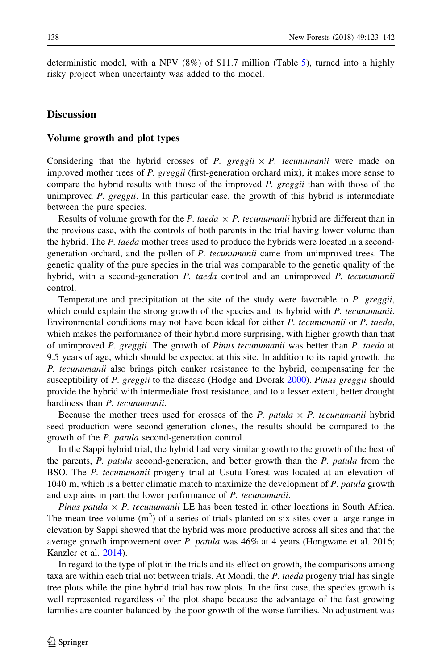deterministic model, with a NPV (8%) of \$11.7 million (Table [5\)](#page-13-0), turned into a highly risky project when uncertainty was added to the model.

## **Discussion**

#### Volume growth and plot types

Considering that the hybrid crosses of P. greggii  $\times$  P. tecunumanii were made on improved mother trees of P. greggii (first-generation orchard mix), it makes more sense to compare the hybrid results with those of the improved P. greggii than with those of the unimproved  $P$ . greggii. In this particular case, the growth of this hybrid is intermediate between the pure species.

Results of volume growth for the P. taeda  $\times$  P. tecunumanii hybrid are different than in the previous case, with the controls of both parents in the trial having lower volume than the hybrid. The P. taeda mother trees used to produce the hybrids were located in a secondgeneration orchard, and the pollen of P. tecunumanii came from unimproved trees. The genetic quality of the pure species in the trial was comparable to the genetic quality of the hybrid, with a second-generation P. taeda control and an unimproved P. tecunumanii control.

Temperature and precipitation at the site of the study were favorable to  $P$ . greggii, which could explain the strong growth of the species and its hybrid with P. tecunumanii. Environmental conditions may not have been ideal for either P. tecunumanii or P. taeda, which makes the performance of their hybrid more surprising, with higher growth than that of unimproved P. greggii. The growth of Pinus tecunumanii was better than P. taeda at 9.5 years of age, which should be expected at this site. In addition to its rapid growth, the P. tecunumanii also brings pitch canker resistance to the hybrid, compensating for the susceptibility of P. greggii to the disease (Hodge and Dvorak [2000](#page-18-0)). Pinus greggii should provide the hybrid with intermediate frost resistance, and to a lesser extent, better drought hardiness than P. tecunumanii.

Because the mother trees used for crosses of the P. patula  $\times$  P. tecunumanii hybrid seed production were second-generation clones, the results should be compared to the growth of the P. patula second-generation control.

In the Sappi hybrid trial, the hybrid had very similar growth to the growth of the best of the parents, P. patula second-generation, and better growth than the P. patula from the BSO. The P. tecunumanii progeny trial at Usutu Forest was located at an elevation of 1040 m, which is a better climatic match to maximize the development of P. patula growth and explains in part the lower performance of P. tecunumanii.

Pinus patula  $\times$  P. tecunumanii LE has been tested in other locations in South Africa. The mean tree volume  $(m<sup>3</sup>)$  of a series of trials planted on six sites over a large range in elevation by Sappi showed that the hybrid was more productive across all sites and that the average growth improvement over P. patula was 46% at 4 years (Hongwane et al. 2016; Kanzler et al. [2014](#page-18-0)).

In regard to the type of plot in the trials and its effect on growth, the comparisons among taxa are within each trial not between trials. At Mondi, the P. taeda progeny trial has single tree plots while the pine hybrid trial has row plots. In the first case, the species growth is well represented regardless of the plot shape because the advantage of the fast growing families are counter-balanced by the poor growth of the worse families. No adjustment was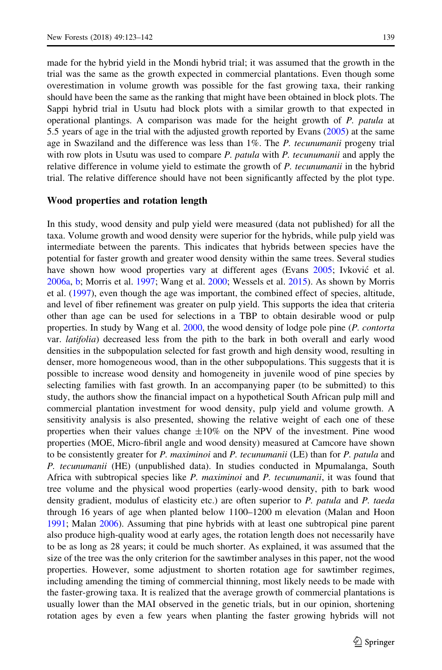made for the hybrid yield in the Mondi hybrid trial; it was assumed that the growth in the trial was the same as the growth expected in commercial plantations. Even though some overestimation in volume growth was possible for the fast growing taxa, their ranking should have been the same as the ranking that might have been obtained in block plots. The Sappi hybrid trial in Usutu had block plots with a similar growth to that expected in operational plantings. A comparison was made for the height growth of P. patula at 5.5 years of age in the trial with the adjusted growth reported by Evans ([2005\)](#page-18-0) at the same age in Swaziland and the difference was less than 1%. The P. tecunumanii progeny trial with row plots in Usutu was used to compare  $P$ . patula with  $P$ . tecunumanii and apply the relative difference in volume yield to estimate the growth of P. tecunumanii in the hybrid trial. The relative difference should have not been significantly affected by the plot type.

### Wood properties and rotation length

In this study, wood density and pulp yield were measured (data not published) for all the taxa. Volume growth and wood density were superior for the hybrids, while pulp yield was intermediate between the parents. This indicates that hybrids between species have the potential for faster growth and greater wood density within the same trees. Several studies have shown how wood properties vary at different ages (Evans [2005;](#page-18-0) Ivković et al. [2006a,](#page-18-0) [b;](#page-18-0) Morris et al. [1997](#page-19-0); Wang et al. [2000;](#page-19-0) Wessels et al. [2015\)](#page-19-0). As shown by Morris et al. ([1997\)](#page-19-0), even though the age was important, the combined effect of species, altitude, and level of fiber refinement was greater on pulp yield. This supports the idea that criteria other than age can be used for selections in a TBP to obtain desirable wood or pulp properties. In study by Wang et al. [2000](#page-19-0), the wood density of lodge pole pine (P. contorta var. latifolia) decreased less from the pith to the bark in both overall and early wood densities in the subpopulation selected for fast growth and high density wood, resulting in denser, more homogeneous wood, than in the other subpopulations. This suggests that it is possible to increase wood density and homogeneity in juvenile wood of pine species by selecting families with fast growth. In an accompanying paper (to be submitted) to this study, the authors show the financial impact on a hypothetical South African pulp mill and commercial plantation investment for wood density, pulp yield and volume growth. A sensitivity analysis is also presented, showing the relative weight of each one of these properties when their values change  $\pm 10\%$  on the NPV of the investment. Pine wood properties (MOE, Micro-fibril angle and wood density) measured at Camcore have shown to be consistently greater for P. maximinoi and P. tecunumanii (LE) than for P. patula and P. tecunumanii (HE) (unpublished data). In studies conducted in Mpumalanga, South Africa with subtropical species like P. maximinoi and P. tecunumanii, it was found that tree volume and the physical wood properties (early-wood density, pith to bark wood density gradient, modulus of elasticity etc.) are often superior to P. patula and P. taeda through 16 years of age when planted below 1100–1200 m elevation (Malan and Hoon [1991;](#page-18-0) Malan [2006\)](#page-18-0). Assuming that pine hybrids with at least one subtropical pine parent also produce high-quality wood at early ages, the rotation length does not necessarily have to be as long as 28 years; it could be much shorter. As explained, it was assumed that the size of the tree was the only criterion for the sawtimber analyses in this paper, not the wood properties. However, some adjustment to shorten rotation age for sawtimber regimes, including amending the timing of commercial thinning, most likely needs to be made with the faster-growing taxa. It is realized that the average growth of commercial plantations is usually lower than the MAI observed in the genetic trials, but in our opinion, shortening rotation ages by even a few years when planting the faster growing hybrids will not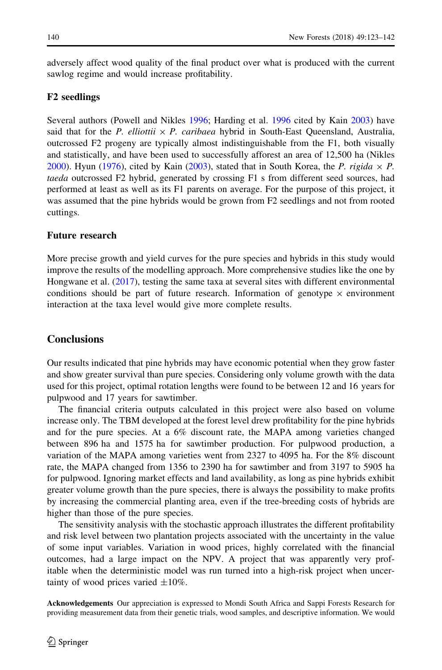adversely affect wood quality of the final product over what is produced with the current sawlog regime and would increase profitability.

## F2 seedlings

Several authors (Powell and Nikles [1996;](#page-19-0) Harding et al. [1996](#page-18-0) cited by Kain [2003](#page-18-0)) have said that for the P. elliottii  $\times$  P. caribaea hybrid in South-East Queensland, Australia, outcrossed F2 progeny are typically almost indistinguishable from the F1, both visually and statistically, and have been used to successfully afforest an area of 12,500 ha (Nikles [2000\)](#page-19-0). Hyun [\(1976](#page-18-0)), cited by Kain ([2003\)](#page-18-0), stated that in South Korea, the P. rigida  $\times$  P. taeda outcrossed F2 hybrid, generated by crossing F1 s from different seed sources, had performed at least as well as its F1 parents on average. For the purpose of this project, it was assumed that the pine hybrids would be grown from F2 seedlings and not from rooted cuttings.

#### Future research

More precise growth and yield curves for the pure species and hybrids in this study would improve the results of the modelling approach. More comprehensive studies like the one by Hongwane et al. ([2017\)](#page-18-0), testing the same taxa at several sites with different environmental conditions should be part of future research. Information of genotype  $\times$  environment interaction at the taxa level would give more complete results.

## **Conclusions**

Our results indicated that pine hybrids may have economic potential when they grow faster and show greater survival than pure species. Considering only volume growth with the data used for this project, optimal rotation lengths were found to be between 12 and 16 years for pulpwood and 17 years for sawtimber.

The financial criteria outputs calculated in this project were also based on volume increase only. The TBM developed at the forest level drew profitability for the pine hybrids and for the pure species. At a 6% discount rate, the MAPA among varieties changed between 896 ha and 1575 ha for sawtimber production. For pulpwood production, a variation of the MAPA among varieties went from 2327 to 4095 ha. For the 8% discount rate, the MAPA changed from 1356 to 2390 ha for sawtimber and from 3197 to 5905 ha for pulpwood. Ignoring market effects and land availability, as long as pine hybrids exhibit greater volume growth than the pure species, there is always the possibility to make profits by increasing the commercial planting area, even if the tree-breeding costs of hybrids are higher than those of the pure species.

The sensitivity analysis with the stochastic approach illustrates the different profitability and risk level between two plantation projects associated with the uncertainty in the value of some input variables. Variation in wood prices, highly correlated with the financial outcomes, had a large impact on the NPV. A project that was apparently very profitable when the deterministic model was run turned into a high-risk project when uncertainty of wood prices varied  $\pm 10\%$ .

Acknowledgements Our appreciation is expressed to Mondi South Africa and Sappi Forests Research for providing measurement data from their genetic trials, wood samples, and descriptive information. We would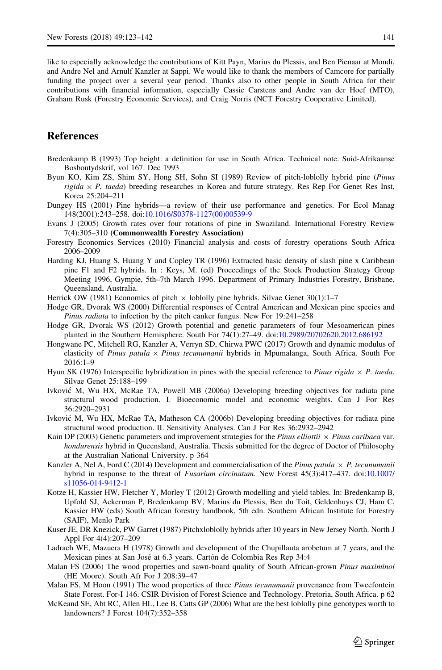<span id="page-18-0"></span>like to especially acknowledge the contributions of Kitt Payn, Marius du Plessis, and Ben Pienaar at Mondi, and Andre Nel and Arnulf Kanzler at Sappi. We would like to thank the members of Camcore for partially funding the project over a several year period. Thanks also to other people in South Africa for their contributions with financial information, especially Cassie Carstens and Andre van der Hoef (MTO), Graham Rusk (Forestry Economic Services), and Craig Norris (NCT Forestry Cooperative Limited).

# **References**

- Bredenkamp B (1993) Top height: a definition for use in South Africa. Technical note. Suid-Afrikaanse Bosboutydskrif, vol 167. Dec 1993
- Byun KO, Kim ZS, Shim SY, Hong SH, Sohn SI (1989) Review of pitch-loblolly hybrid pine (Pinus rigida  $\times$  P. taeda) breeding researches in Korea and future strategy. Res Rep For Genet Res Inst, Korea 25:204–211
- Dungey HS (2001) Pine hybrids—a review of their use performance and genetics. For Ecol Manag 148(2001):243–258. doi[:10.1016/S0378-1127\(00\)00539-9](http://dx.doi.org/10.1016/S0378-1127(00)00539-9)
- Evans J (2005) Growth rates over four rotations of pine in Swaziland. International Forestry Review 7(4):305–310 (Commonwealth Forestry Association)
- Forestry Economics Services (2010) Financial analysis and costs of forestry operations South Africa 2006–2009
- Harding KJ, Huang S, Huang Y and Copley TR (1996) Extracted basic density of slash pine x Caribbean pine F1 and F2 hybrids. In : Keys, M. (ed) Proceedings of the Stock Production Strategy Group Meeting 1996, Gympie, 5th–7th March 1996. Department of Primary Industries Forestry, Brisbane, Queensland, Australia.
- Herrick OW (1981) Economics of pitch  $\times$  loblolly pine hybrids. Silvae Genet 30(1):1–7
- Hodge GR, Dvorak WS (2000) Differential responses of Central American and Mexican pine species and Pinus radiata to infection by the pitch canker fungus. New For 19:241–258
- Hodge GR, Dvorak WS (2012) Growth potential and genetic parameters of four Mesoamerican pines planted in the Southern Hemisphere. South For 74(1):27–49. doi[:10.2989/20702620.2012.686192](http://dx.doi.org/10.2989/20702620.2012.686192)
- Hongwane PC, Mitchell RG, Kanzler A, Verryn SD, Chirwa PWC (2017) Growth and dynamic modulus of elasticity of Pinus patula  $\times$  Pinus tecunumanii hybrids in Mpumalanga, South Africa. South For 2016:1–9
- Hyun SK (1976) Interspecific hybridization in pines with the special reference to *Pinus rigida*  $\times$  *P. taeda.* Silvae Genet 25:188–199
- Ivkovic´ M, Wu HX, McRae TA, Powell MB (2006a) Developing breeding objectives for radiata pine structural wood production. I. Bioeconomic model and economic weights. Can J For Res 36:2920–2931
- Ivkovic´ M, Wu HX, McRae TA, Matheson CA (2006b) Developing breeding objectives for radiata pine structural wood production. II. Sensitivity Analyses. Can J For Res 36:2932–2942
- Kain DP (2003) Genetic parameters and improvement strategies for the *Pinus elliottii*  $\times$  *Pinus caribaea* var. hondurensis hybrid in Queensland, Australia. Thesis submitted for the degree of Doctor of Philosophy at the Australian National University. p 364
- Kanzler A, Nel A, Ford C (2014) Development and commercialisation of the Pinus patula  $\times$  P. tecunumanii hybrid in response to the threat of *Fusarium circinatum*. New Forest 45(3):417–437. doi:[10.1007/](http://dx.doi.org/10.1007/s11056-014-9412-1) [s11056-014-9412-1](http://dx.doi.org/10.1007/s11056-014-9412-1)
- Kotze H, Kassier HW, Fletcher Y, Morley T (2012) Growth modelling and yield tables. In: Bredenkamp B, Upfold SJ, Ackerman P, Bredenkamp BV, Marius du Plessis, Ben du Toit, Geldenhuys CJ, Ham C, Kassier HW (eds) South African forestry handbook, 5th edn. Southern African Institute for Forestry (SAIF), Menlo Park
- Kuser JE, DR Knezick, PW Garret (1987) Pitchxloblolly hybrids after 10 years in New Jersey North. North J Appl For 4(4):207–209
- Ladrach WE, Mazuera H (1978) Growth and development of the Chupillauta arobetum at 7 years, and the Mexican pines at San José at 6.3 years. Cartón de Colombia Res Rep 34:4
- Malan FS (2006) The wood properties and sawn-board quality of South African-grown Pinus maximinoi (HE Moore). South Afr For J 208:39–47
- Malan FS, M Hoon (1991) The wood properties of three Pinus tecunumanii provenance from Tweefontein State Forest. For-I 146. CSIR Division of Forest Science and Technology. Pretoria, South Africa. p 62
- McKeand SE, Abt RC, Allen HL, Lee B, Catts GP (2006) What are the best loblolly pine genotypes worth to landowners? J Forest 104(7):352–358